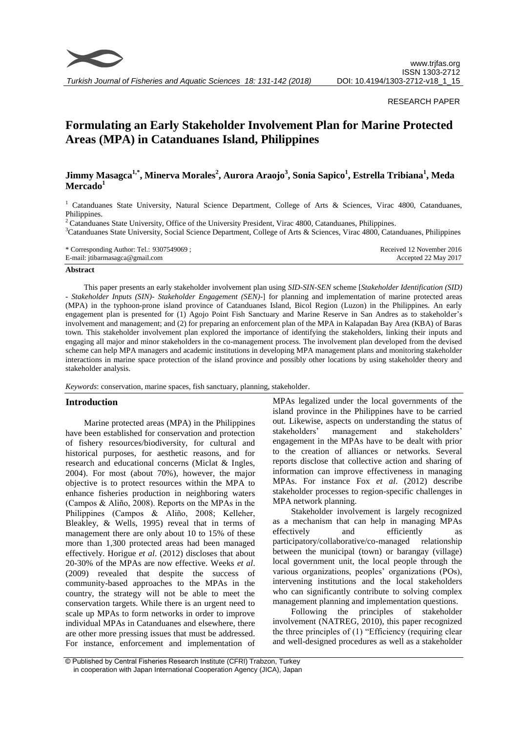

*Turkish Journal of Fisheries and Aquatic Sciences 18: 131-142 (2018)*

# RESEARCH PAPER

# **Formulating an Early Stakeholder Involvement Plan for Marine Protected Areas (MPA) in Catanduanes Island, Philippines**

# **Jimmy Masagca1,\*, Minerva Morales<sup>2</sup> , Aurora Araojo<sup>3</sup> , Sonia Sapico<sup>1</sup> , Estrella Tribiana<sup>1</sup> , Meda Mercado<sup>1</sup>**

<sup>1</sup> Catanduanes State University, Natural Science Department, College of Arts & Sciences, Virac 4800, Catanduanes, Philippines.

<sup>2</sup> Catanduanes State University, Office of the University President, Virac 4800, Catanduanes, Philippines.

<sup>3</sup>Catanduanes State University, Social Science Department, College of Arts & Sciences, Virac 4800, Catanduanes, Philippines

| * Corresponding Author: Tel.: 9307549069; | Received 12 November 2016 |
|-------------------------------------------|---------------------------|
| E-mail: jtibarmasagca@gmail.com           | Accepted 22 May 2017      |

# **Abstract**

This paper presents an early stakeholder involvement plan using *SID-SIN*-*SEN* scheme [*Stakeholder Identification (SID) - Stakeholder Inputs (SIN)- Stakeholder Engagement (SEN)-*] for planning and implementation of marine protected areas (MPA) in the typhoon-prone island province of Catanduanes Island, Bicol Region (Luzon) in the Philippines. An early engagement plan is presented for (1) Agojo Point Fish Sanctuary and Marine Reserve in San Andres as to stakeholder's involvement and management; and (2) for preparing an enforcement plan of the MPA in Kalapadan Bay Area (KBA) of Baras town. This stakeholder involvement plan explored the importance of identifying the stakeholders, linking their inputs and engaging all major and minor stakeholders in the co-management process. The involvement plan developed from the devised scheme can help MPA managers and academic institutions in developing MPA management plans and monitoring stakeholder interactions in marine space protection of the island province and possibly other locations by using stakeholder theory and stakeholder analysis.

*Keywords*: conservation, marine spaces, fish sanctuary, planning, stakeholder.

# **Introduction**

Marine protected areas (MPA) in the Philippines have been established for conservation and protection of fishery resources/biodiversity, for cultural and historical purposes, for aesthetic reasons, and for research and educational concerns (Miclat & Ingles, 2004). For most (about 70%), however, the major objective is to protect resources within the MPA to enhance fisheries production in neighboring waters (Campos & Aliño, 2008). Reports on the MPAs in the Philippines (Campos & Aliño, 2008; Kelleher, Bleakley, & Wells, 1995) reveal that in terms of management there are only about 10 to 15% of these more than 1,300 protected areas had been managed effectively. Horigue *et al*. (2012) discloses that about 20-30% of the MPAs are now effective. Weeks *et al*. (2009) revealed that despite the success of community-based approaches to the MPAs in the country, the strategy will not be able to meet the conservation targets. While there is an urgent need to scale up MPAs to form networks in order to improve individual MPAs in Catanduanes and elsewhere, there are other more pressing issues that must be addressed. For instance, enforcement and implementation of

MPAs legalized under the local governments of the island province in the Philippines have to be carried out. Likewise, aspects on understanding the status of stakeholders" management and stakeholders" engagement in the MPAs have to be dealt with prior to the creation of alliances or networks. Several reports disclose that collective action and sharing of information can improve effectiveness in managing MPAs. For instance Fox *et al*. (2012) describe stakeholder processes to region-specific challenges in MPA network planning.

Stakeholder involvement is largely recognized as a mechanism that can help in managing MPAs effectively and efficiently as participatory/collaborative/co-managed relationship between the municipal (town) or barangay (village) local government unit, the local people through the various organizations, peoples" organizations (POs), intervening institutions and the local stakeholders who can significantly contribute to solving complex management planning and implementation questions.

Following the principles of stakeholder involvement (NATREG, 2010), this paper recognized the three principles of (1) "Efficiency (requiring clear and well-designed procedures as well as a stakeholder

<sup>©</sup> Published by Central Fisheries Research Institute (CFRI) Trabzon, Turkey in cooperation with Japan International Cooperation Agency (JICA), Japan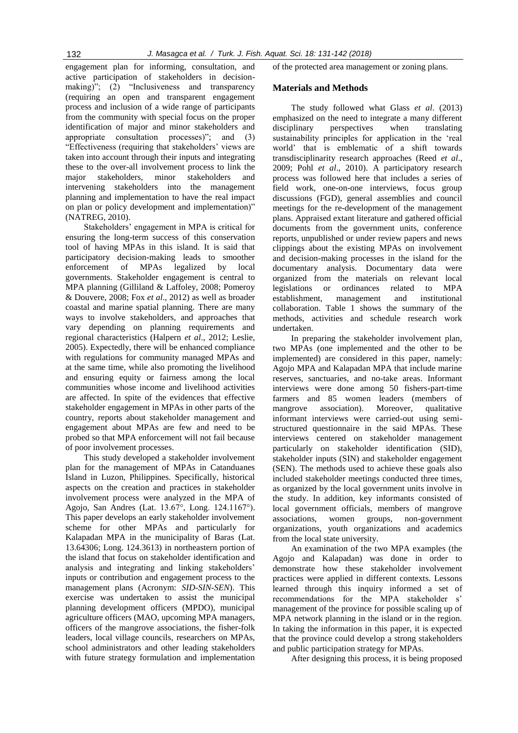engagement plan for informing, consultation, and active participation of stakeholders in decisionmaking)"; (2) "Inclusiveness and transparency (requiring an open and transparent engagement process and inclusion of a wide range of participants from the community with special focus on the proper identification of major and minor stakeholders and appropriate consultation processes)"; and (3) "Effectiveness (requiring that stakeholders' views are taken into account through their inputs and integrating these to the over-all involvement process to link the major stakeholders, minor stakeholders and intervening stakeholders into the management planning and implementation to have the real impact on plan or policy development and implementation)" (NATREG, 2010).

Stakeholders" engagement in MPA is critical for ensuring the long-term success of this conservation tool of having MPAs in this island. It is said that participatory decision-making leads to smoother enforcement of MPAs legalized by local governments. Stakeholder engagement is central to MPA planning (Gilliland & Laffoley, 2008; Pomeroy & Douvere, 2008; Fox *et al*., 2012) as well as broader coastal and marine spatial planning. There are many ways to involve stakeholders, and approaches that vary depending on planning requirements and regional characteristics (Halpern *et al*., 2012; Leslie, 2005). Expectedly, there will be enhanced compliance with regulations for community managed MPAs and at the same time, while also promoting the livelihood and ensuring equity or fairness among the local communities whose income and livelihood activities are affected. In spite of the evidences that effective stakeholder engagement in MPAs in other parts of the country, reports about stakeholder management and engagement about MPAs are few and need to be probed so that MPA enforcement will not fail because of poor involvement processes.

This study developed a stakeholder involvement plan for the management of MPAs in Catanduanes Island in Luzon, Philippines. Specifically, historical aspects on the creation and practices in stakeholder involvement process were analyzed in the MPA of Agojo, San Andres (Lat. 13.67°, Long. 124.1167°). This paper develops an early stakeholder involvement scheme for other MPAs and particularly for Kalapadan MPA in the municipality of Baras (Lat. 13.64306; Long. 124.3613) in northeastern portion of the island that focus on stakeholder identification and analysis and integrating and linking stakeholders" inputs or contribution and engagement process to the management plans (Acronym: *SID-SIN-SEN*). This exercise was undertaken to assist the municipal planning development officers (MPDO), municipal agriculture officers (MAO, upcoming MPA managers, officers of the mangrove associations, the fisher-folk leaders, local village councils, researchers on MPAs, school administrators and other leading stakeholders with future strategy formulation and implementation of the protected area management or zoning plans.

#### **Materials and Methods**

The study followed what Glass *et al*. (2013) emphasized on the need to integrate a many different disciplinary perspectives when translating sustainability principles for application in the "real world" that is emblematic of a shift towards transdisciplinarity research approaches (Reed *et al*., 2009; Pohl *et al*., 2010). A participatory research process was followed here that includes a series of field work, one-on-one interviews, focus group discussions (FGD), general assemblies and council meetings for the re-development of the management plans. Appraised extant literature and gathered official documents from the government units, conference reports, unpublished or under review papers and news clippings about the existing MPAs on involvement and decision-making processes in the island for the documentary analysis. Documentary data were organized from the materials on relevant local legislations or ordinances related to MPA establishment, management and institutional collaboration. Table 1 shows the summary of the methods, activities and schedule research work undertaken.

In preparing the stakeholder involvement plan, two MPAs (one implemented and the other to be implemented) are considered in this paper, namely: Agojo MPA and Kalapadan MPA that include marine reserves, sanctuaries, and no-take areas. Informant interviews were done among 50 fishers-part-time farmers and 85 women leaders (members of mangrove association). Moreover, qualitative informant interviews were carried-out using semistructured questionnaire in the said MPAs. These interviews centered on stakeholder management particularly on stakeholder identification (SID), stakeholder inputs (SIN) and stakeholder engagement (SEN). The methods used to achieve these goals also included stakeholder meetings conducted three times, as organized by the local government units involve in the study. In addition, key informants consisted of local government officials, members of mangrove associations, women groups, non-government organizations, youth organizations and academics from the local state university.

An examination of the two MPA examples (the Agojo and Kalapadan) was done in order to demonstrate how these stakeholder involvement practices were applied in different contexts. Lessons learned through this inquiry informed a set of recommendations for the MPA stakeholder s' management of the province for possible scaling up of MPA network planning in the island or in the region. In taking the information in this paper, it is expected that the province could develop a strong stakeholders and public participation strategy for MPAs.

After designing this process, it is being proposed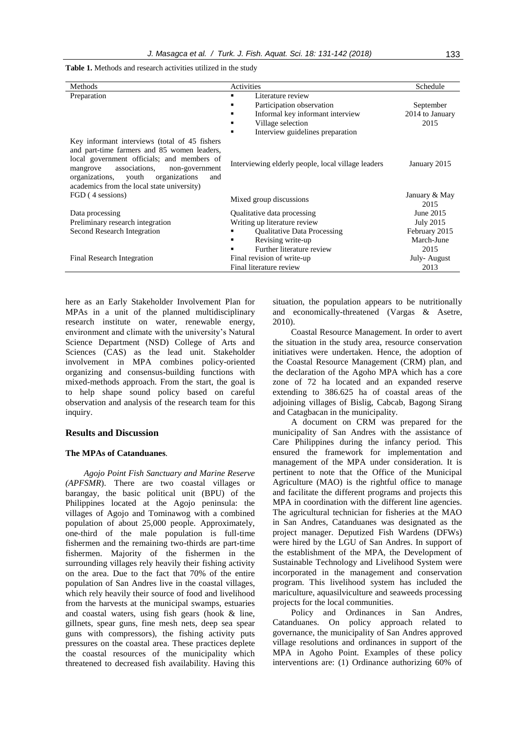| Methods                                                                                                                                                                                                                                                                              | Activities                                                                                                                                                                        | Schedule                             |
|--------------------------------------------------------------------------------------------------------------------------------------------------------------------------------------------------------------------------------------------------------------------------------------|-----------------------------------------------------------------------------------------------------------------------------------------------------------------------------------|--------------------------------------|
| Preparation                                                                                                                                                                                                                                                                          | Literature review<br>٠<br>Participation observation<br>٠<br>Informal key informant interview<br>$\blacksquare$<br>Village selection<br>٠<br>Interview guidelines preparation<br>٠ | September<br>2014 to January<br>2015 |
| Key informant interviews (total of 45 fishers<br>and part-time farmers and 85 women leaders,<br>local government officials; and members of<br>associations,<br>mangrove<br>non-government<br>organizations, youth organizations<br>and<br>academics from the local state university) | Interviewing elderly people, local village leaders                                                                                                                                | January 2015                         |
| FGD (4 sessions)                                                                                                                                                                                                                                                                     | Mixed group discussions                                                                                                                                                           | January & May<br>2015                |
| Data processing                                                                                                                                                                                                                                                                      | Qualitative data processing                                                                                                                                                       | June 2015                            |
| Preliminary research integration                                                                                                                                                                                                                                                     | Writing up literature review                                                                                                                                                      | <b>July 2015</b>                     |
| <b>Second Research Integration</b>                                                                                                                                                                                                                                                   | <b>Oualitative Data Processing</b><br>٠                                                                                                                                           | February 2015                        |
|                                                                                                                                                                                                                                                                                      | Revising write-up                                                                                                                                                                 | March-June                           |
|                                                                                                                                                                                                                                                                                      | Further literature review                                                                                                                                                         | 2015                                 |
| Final Research Integration                                                                                                                                                                                                                                                           | Final revision of write-up                                                                                                                                                        | July-August                          |
|                                                                                                                                                                                                                                                                                      | Final literature review                                                                                                                                                           | 2013                                 |

**Table 1.** Methods and research activities utilized in the study

here as an Early Stakeholder Involvement Plan for MPAs in a unit of the planned multidisciplinary research institute on water, renewable energy, environment and climate with the university"s Natural Science Department (NSD) College of Arts and Sciences (CAS) as the lead unit. Stakeholder involvement in MPA combines policy-oriented organizing and consensus-building functions with mixed-methods approach. From the start, the goal is to help shape sound policy based on careful observation and analysis of the research team for this inquiry.

# **Results and Discussion**

# **The MPAs of Catanduanes***.*

*Agojo Point Fish Sanctuary and Marine Reserve (APFSMR*). There are two coastal villages or barangay*,* the basic political unit (BPU) of the Philippines located at the Agojo peninsula: the villages of Agojo and Tominawog with a combined population of about 25,000 people. Approximately, one-third of the male population is full-time fishermen and the remaining two-thirds are part-time fishermen. Majority of the fishermen in the surrounding villages rely heavily their fishing activity on the area. Due to the fact that 70% of the entire population of San Andres live in the coastal villages, which rely heavily their source of food and livelihood from the harvests at the municipal swamps, estuaries and coastal waters, using fish gears (hook & line, gillnets, spear guns, fine mesh nets, deep sea spear guns with compressors), the fishing activity puts pressures on the coastal area. These practices deplete the coastal resources of the municipality which threatened to decreased fish availability. Having this situation, the population appears to be nutritionally and economically-threatened (Vargas & Asetre, 2010).

Coastal Resource Management*.* In order to avert the situation in the study area, resource conservation initiatives were undertaken. Hence, the adoption of the Coastal Resource Management (CRM) plan, and the declaration of the Agoho MPA which has a core zone of 72 ha located and an expanded reserve extending to 386.625 ha of coastal areas of the adjoining villages of Bislig, Cabcab, Bagong Sirang and Catagbacan in the municipality.

A document on CRM was prepared for the municipality of San Andres with the assistance of Care Philippines during the infancy period. This ensured the framework for implementation and management of the MPA under consideration. It is pertinent to note that the Office of the Municipal Agriculture (MAO) is the rightful office to manage and facilitate the different programs and projects this MPA in coordination with the different line agencies. The agricultural technician for fisheries at the MAO in San Andres, Catanduanes was designated as the project manager. Deputized Fish Wardens (DFWs) were hired by the LGU of San Andres. In support of the establishment of the MPA, the Development of Sustainable Technology and Livelihood System were incorporated in the management and conservation program. This livelihood system has included the mariculture, aquasilviculture and seaweeds processing projects for the local communities.

Policy and Ordinances in San Andres, Catanduanes. On policy approach related to governance, the municipality of San Andres approved village resolutions and ordinances in support of the MPA in Agoho Point. Examples of these policy interventions are: (1) Ordinance authorizing 60% of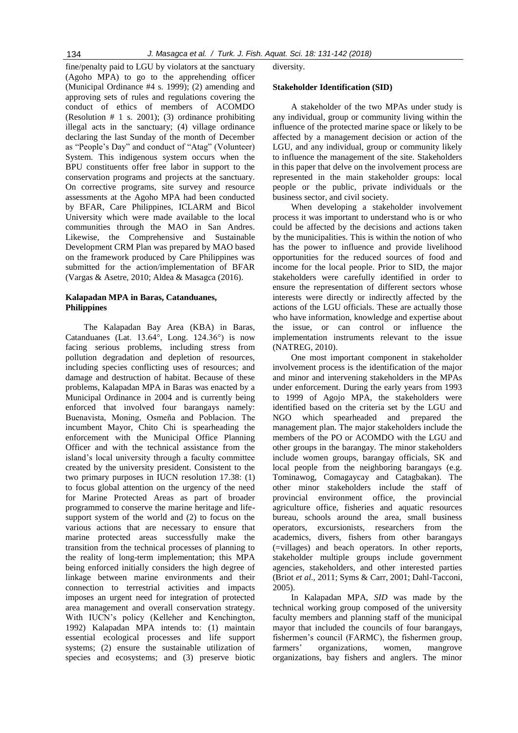fine/penalty paid to LGU by violators at the sanctuary (Agoho MPA) to go to the apprehending officer (Municipal Ordinance #4 s. 1999); (2) amending and approving sets of rules and regulations covering the conduct of ethics of members of ACOMDO (Resolution # 1 s. 2001); (3) ordinance prohibiting illegal acts in the sanctuary; (4) village ordinance declaring the last Sunday of the month of December as "People"s Day" and conduct of "Atag" (Volunteer) System. This indigenous system occurs when the BPU constituents offer free labor in support to the conservation programs and projects at the sanctuary. On corrective programs, site survey and resource assessments at the Agoho MPA had been conducted by BFAR, Care Philippines, ICLARM and Bicol University which were made available to the local communities through the MAO in San Andres. Likewise, the Comprehensive and Sustainable Development CRM Plan was prepared by MAO based on the framework produced by Care Philippines was submitted for the action/implementation of BFAR (Vargas & Asetre, 2010; Aldea & Masagca (2016).

# **Kalapadan MPA in Baras, Catanduanes, Philippines**

The Kalapadan Bay Area (KBA) in Baras, Catanduanes (Lat. 13.64°, Long. 124.36°) is now facing serious problems, including stress from pollution degradation and depletion of resources, including species conflicting uses of resources; and damage and destruction of habitat. Because of these problems, Kalapadan MPA in Baras was enacted by a Municipal Ordinance in 2004 and is currently being enforced that involved four barangays namely: Buenavista, Moning, Osmeña and Poblacion. The incumbent Mayor, Chito Chi is spearheading the enforcement with the Municipal Office Planning Officer and with the technical assistance from the island"s local university through a faculty committee created by the university president. Consistent to the two primary purposes in IUCN resolution 17.38: (1) to focus global attention on the urgency of the need for Marine Protected Areas as part of broader programmed to conserve the marine heritage and lifesupport system of the world and (2) to focus on the various actions that are necessary to ensure that marine protected areas successfully make the transition from the technical processes of planning to the reality of long-term implementation; this MPA being enforced initially considers the high degree of linkage between marine environments and their connection to terrestrial activities and impacts imposes an urgent need for integration of protected area management and overall conservation strategy. With IUCN's policy (Kelleher and Kenchington, 1992) Kalapadan MPA intends to: (1) maintain essential ecological processes and life support systems; (2) ensure the sustainable utilization of species and ecosystems; and (3) preserve biotic

diversity.

#### **Stakeholder Identification (SID)**

A stakeholder of the two MPAs under study is any individual, group or community living within the influence of the protected marine space or likely to be affected by a management decision or action of the LGU, and any individual, group or community likely to influence the management of the site. Stakeholders in this paper that delve on the involvement process are represented in the main stakeholder groups: local people or the public, private individuals or the business sector, and civil society.

When developing a stakeholder involvement process it was important to understand who is or who could be affected by the decisions and actions taken by the municipalities. This is within the notion of who has the power to influence and provide livelihood opportunities for the reduced sources of food and income for the local people. Prior to SID, the major stakeholders were carefully identified in order to ensure the representation of different sectors whose interests were directly or indirectly affected by the actions of the LGU officials. These are actually those who have information, knowledge and expertise about the issue, or can control or influence the implementation instruments relevant to the issue (NATREG, 2010).

One most important component in stakeholder involvement process is the identification of the major and minor and intervening stakeholders in the MPAs under enforcement. During the early years from 1993 to 1999 of Agojo MPA, the stakeholders were identified based on the criteria set by the LGU and NGO which spearheaded and prepared the management plan. The major stakeholders include the members of the PO or ACOMDO with the LGU and other groups in the barangay. The minor stakeholders include women groups, barangay officials, SK and local people from the neighboring barangays (e.g. Tominawog, Comagaycay and Catagbakan). The other minor stakeholders include the staff of provincial environment office, the provincial agriculture office, fisheries and aquatic resources bureau, schools around the area, small business operators, excursionists, researchers from the academics, divers, fishers from other barangays (=villages) and beach operators. In other reports, stakeholder multiple groups include government agencies, stakeholders, and other interested parties (Briot *et al*., 2011; Syms & Carr, 2001; Dahl-Tacconi, 2005).

In Kalapadan MPA, *SID* was made by the technical working group composed of the university faculty members and planning staff of the municipal mayor that included the councils of four barangays, fishermen"s council (FARMC), the fishermen group, farmers" organizations, women, mangrove organizations, bay fishers and anglers. The minor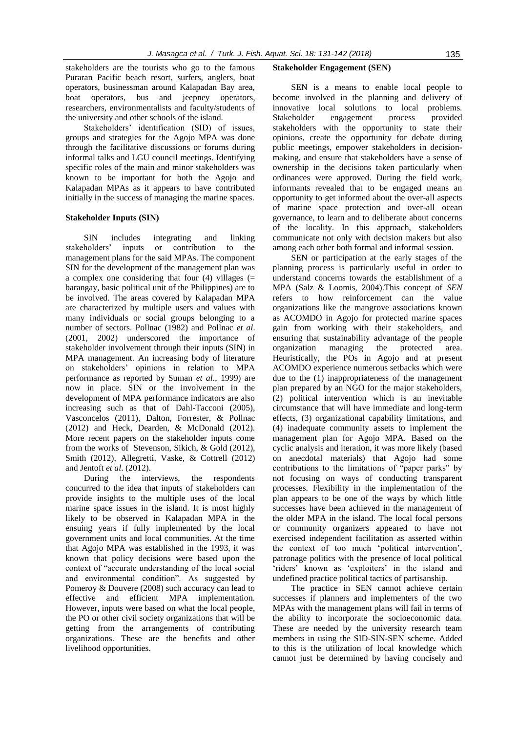stakeholders are the tourists who go to the famous Puraran Pacific beach resort, surfers, anglers, boat operators, businessman around Kalapadan Bay area, boat operators, bus and jeepney operators, researchers, environmentalists and faculty/students of the university and other schools of the island.

Stakeholders" identification (SID) of issues, groups and strategies for the Agojo MPA was done through the facilitative discussions or forums during informal talks and LGU council meetings. Identifying specific roles of the main and minor stakeholders was known to be important for both the Agojo and Kalapadan MPAs as it appears to have contributed initially in the success of managing the marine spaces.

#### **Stakeholder Inputs (SIN)**

SIN includes integrating and linking stakeholders" inputs or contribution to the management plans for the said MPAs. The component SIN for the development of the management plan was a complex one considering that four  $(4)$  villages  $(=$ barangay, basic political unit of the Philippines) are to be involved. The areas covered by Kalapadan MPA are characterized by multiple users and values with many individuals or social groups belonging to a number of sectors. Pollnac (1982) and Pollnac *et al*. (2001, 2002) underscored the importance of stakeholder involvement through their inputs (SIN) in MPA management. An increasing body of literature on stakeholders" opinions in relation to MPA performance as reported by Suman *et al*., 1999) are now in place. SIN or the involvement in the development of MPA performance indicators are also increasing such as that of Dahl-Tacconi (2005), Vasconcelos (2011), [Dalton,](http://www.scopus.com.scopeesprx.elsevier.com/authid/detail.url?origin=resultslist&authorId=9639917700&zone=) Forrester, & Pollnac (2012) and Heck, Dearden, & McDonald (2012). More recent papers on the stakeholder inputs come from the works of [Stevenson,](http://www.scopus.com.scopeesprx.elsevier.com/authid/detail.url?origin=resultslist&authorId=49964665500&zone=) [Sikich,](http://www.scopus.com.scopeesprx.elsevier.com/authid/detail.url?origin=resultslist&authorId=49964703800&zone=) & [Gold](http://www.scopus.com.scopeesprx.elsevier.com/authid/detail.url?origin=resultslist&authorId=7402444104&zone=) (2012), [Smith \(](http://www.scopus.com.scopeesprx.elsevier.com/authid/detail.url?origin=resultslist&authorId=55221114900&zone=)2012), [Allegretti, Vaske, &](http://www.scopus.com.scopeesprx.elsevier.com/authid/detail.url?origin=resultslist&authorId=55210985400&zone=) [Cottrell](http://www.scopus.com.scopeesprx.elsevier.com/authid/detail.url?origin=resultslist&authorId=7005775698&zone=) (2012) and Jentoft *et al*. (2012).

During the interviews, the respondents concurred to the idea that inputs of stakeholders can provide insights to the multiple uses of the local marine space issues in the island. It is most highly likely to be observed in Kalapadan MPA in the ensuing years if fully implemented by the local government units and local communities. At the time that Agojo MPA was established in the 1993, it was known that policy decisions were based upon the context of "accurate understanding of the local social and environmental condition". As suggested by Pomeroy & Douvere (2008) such accuracy can lead to effective and efficient MPA implementation. However, inputs were based on what the local people, the PO or other civil society organizations that will be getting from the arrangements of contributing organizations. These are the benefits and other livelihood opportunities.

#### **Stakeholder Engagement (SEN)**

SEN is a means to enable local people to become involved in the planning and delivery of innovative local solutions to local problems. Stakeholder engagement process provided stakeholders with the opportunity to state their opinions, create the opportunity for debate during public meetings, empower stakeholders in decisionmaking, and ensure that stakeholders have a sense of ownership in the decisions taken particularly when ordinances were approved. During the field work, informants revealed that to be engaged means an opportunity to get informed about the over-all aspects of marine space protection and over-all ocean governance, to learn and to deliberate about concerns of the locality. In this approach, stakeholders communicate not only with decision makers but also among each other both formal and informal session.

SEN or participation at the early stages of the planning process is particularly useful in order to understand concerns towards the establishment of a MPA (Salz & Loomis, 2004).This concept of *SEN*  refers to how reinforcement can the value organizations like the mangrove associations known as ACOMDO in Agojo for protected marine spaces gain from working with their stakeholders, and ensuring that sustainability advantage of the people organization managing the protected area. Heuristically, the POs in Agojo and at present ACOMDO experience numerous setbacks which were due to the (1) inappropriateness of the management plan prepared by an NGO for the major stakeholders, (2) political intervention which is an inevitable circumstance that will have immediate and long-term effects, (3) organizational capability limitations, and (4) inadequate community assets to implement the management plan for Agojo MPA. Based on the cyclic analysis and iteration, it was more likely (based on anecdotal materials) that Agojo had some contributions to the limitations of "paper parks" by not focusing on ways of conducting transparent processes. Flexibility in the implementation of the plan appears to be one of the ways by which little successes have been achieved in the management of the older MPA in the island. The local focal persons or community organizers appeared to have not exercised independent facilitation as asserted within the context of too much "political intervention", patronage politics with the presence of local political 'riders' known as 'exploiters' in the island and undefined practice political tactics of partisanship.

The practice in SEN cannot achieve certain successes if planners and implementers of the two MPAs with the management plans will fail in terms of the ability to incorporate the socioeconomic data. These are needed by the university research team members in using the SID-SIN-SEN scheme. Added to this is the utilization of local knowledge which cannot just be determined by having concisely and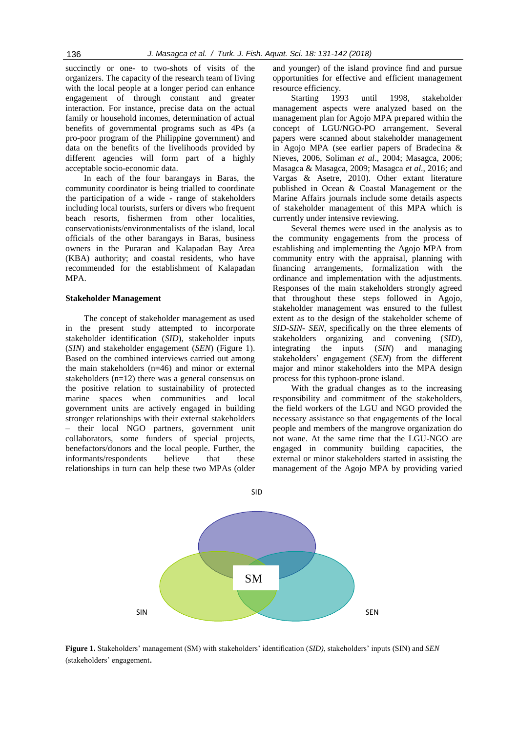succinctly or one- to two-shots of visits of the organizers. The capacity of the research team of living with the local people at a longer period can enhance engagement of through constant and greater interaction. For instance, precise data on the actual family or household incomes, determination of actual benefits of governmental programs such as 4Ps (a pro-poor program of the Philippine government) and data on the benefits of the livelihoods provided by different agencies will form part of a highly acceptable socio-economic data.

In each of the four barangays in Baras, the community coordinator is being trialled to coordinate the participation of a wide - range of stakeholders including local tourists, surfers or divers who frequent beach resorts, fishermen from other localities, conservationists/environmentalists of the island, local officials of the other barangays in Baras, business owners in the Puraran and Kalapadan Bay Area (KBA) authority; and coastal residents, who have recommended for the establishment of Kalapadan MPA.

#### **Stakeholder Management**

The concept of stakeholder management as used in the present study attempted to incorporate stakeholder identification (*SID*), stakeholder inputs (*SIN*) and stakeholder engagement (*SEN*) (Figure 1). Based on the combined interviews carried out among the main stakeholders (n=46) and minor or external stakeholders (n=12) there was a general consensus on the positive relation to sustainability of protected marine spaces when communities and local government units are actively engaged in building stronger relationships with their external stakeholders their local NGO partners, government unit collaborators, some funders of special projects, benefactors/donors and the local people. Further, the informants/respondents believe that these relationships in turn can help these two MPAs (older and younger) of the island province find and pursue opportunities for effective and efficient management resource efficiency.

Starting 1993 until 1998, stakeholder management aspects were analyzed based on the management plan for Agojo MPA prepared within the concept of LGU/NGO-PO arrangement. Several papers were scanned about stakeholder management in Agojo MPA (see earlier papers of Bradecina & Nieves, 2006, Soliman *et al*., 2004; Masagca, 2006; Masagca & Masagca, 2009; Masagca *et al*., 2016; and Vargas & Asetre, 2010). Other extant literature published in Ocean & Coastal Management or the Marine Affairs journals include some details aspects of stakeholder management of this MPA which is currently under intensive reviewing.

Several themes were used in the analysis as to the community engagements from the process of establishing and implementing the Agojo MPA from community entry with the appraisal, planning with financing arrangements, formalization with the ordinance and implementation with the adjustments. Responses of the main stakeholders strongly agreed that throughout these steps followed in Agojo, stakeholder management was ensured to the fullest extent as to the design of the stakeholder scheme of *SID-SIN- SEN*, specifically on the three elements of stakeholders organizing and convening (*SID*), integrating the inputs (*SIN*) and managing stakeholders" engagement (*SEN*) from the different major and minor stakeholders into the MPA design process for this typhoon-prone island.

With the gradual changes as to the increasing responsibility and commitment of the stakeholders, the field workers of the LGU and NGO provided the necessary assistance so that engagements of the local people and members of the mangrove organization do not wane. At the same time that the LGU-NGO are engaged in community building capacities, the external or minor stakeholders started in assisting the management of the Agojo MPA by providing varied



**Figure 1.** Stakeholders" management (SM) with stakeholders" identification (*SID)*, stakeholders" inputs (SIN) and *SEN* (stakeholders" engagement.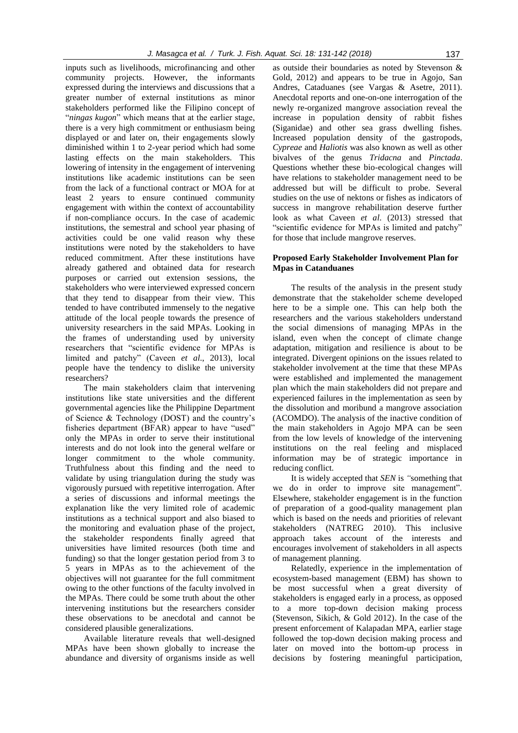inputs such as livelihoods, microfinancing and other community projects. However, the informants expressed during the interviews and discussions that a greater number of external institutions as minor stakeholders performed like the Filipino concept of "*ningas kugon*" which means that at the earlier stage, there is a very high commitment or enthusiasm being displayed or and later on, their engagements slowly diminished within 1 to 2-year period which had some lasting effects on the main stakeholders. This lowering of intensity in the engagement of intervening institutions like academic institutions can be seen from the lack of a functional contract or MOA for at least 2 years to ensure continued community engagement with within the context of accountability if non-compliance occurs. In the case of academic institutions, the semestral and school year phasing of activities could be one valid reason why these institutions were noted by the stakeholders to have reduced commitment. After these institutions have already gathered and obtained data for research purposes or carried out extension sessions, the stakeholders who were interviewed expressed concern that they tend to disappear from their view. This tended to have contributed immensely to the negative attitude of the local people towards the presence of university researchers in the said MPAs. Looking in the frames of understanding used by university researchers that "scientific evidence for MPAs is limited and patchy" (Caveen *et al*., 2013), local people have the tendency to dislike the university researchers?

The main stakeholders claim that intervening institutions like state universities and the different governmental agencies like the Philippine Department of Science & Technology (DOST) and the country"s fisheries department (BFAR) appear to have "used" only the MPAs in order to serve their institutional interests and do not look into the general welfare or longer commitment to the whole community. Truthfulness about this finding and the need to validate by using triangulation during the study was vigorously pursued with repetitive interrogation. After a series of discussions and informal meetings the explanation like the very limited role of academic institutions as a technical support and also biased to the monitoring and evaluation phase of the project, the stakeholder respondents finally agreed that universities have limited resources (both time and funding) so that the longer gestation period from 3 to 5 years in MPAs as to the achievement of the objectives will not guarantee for the full commitment owing to the other functions of the faculty involved in the MPAs. There could be some truth about the other intervening institutions but the researchers consider these observations to be anecdotal and cannot be considered plausible generalizations.

Available literature reveals that well-designed MPAs have been shown globally to increase the abundance and diversity of organisms inside as well

as outside their boundaries as noted by [Stevenson &](http://www.scopus.com.scopeesprx.elsevier.com/authid/detail.url?origin=resultslist&authorId=49964665500&zone=) [Gold,](http://www.scopus.com.scopeesprx.elsevier.com/authid/detail.url?origin=resultslist&authorId=7402444104&zone=) 2012) and appears to be true in Agojo, San Andres, Cataduanes (see Vargas & Asetre, 2011). Anecdotal reports and one-on-one interrogation of the newly re-organized mangrove association reveal the increase in population density of rabbit fishes (Siganidae) and other sea grass dwelling fishes. Increased population density of the gastropods, *Cypreae* and *Haliotis* was also known as well as other bivalves of the genus *Tridacna* and *Pinctada*. Questions whether these bio-ecological changes will have relations to stakeholder management need to be addressed but will be difficult to probe. Several studies on the use of nektons or fishes as indicators of success in mangrove rehabilitation deserve further look as what Caveen *et al*. (2013) stressed that "scientific evidence for MPAs is limited and patchy" for those that include mangrove reserves.

# **Proposed Early Stakeholder Involvement Plan for Mpas in Catanduanes**

The results of the analysis in the present study demonstrate that the stakeholder scheme developed here to be a simple one. This can help both the researchers and the various stakeholders understand the social dimensions of managing MPAs in the island, even when the concept of climate change adaptation, mitigation and resilience is about to be integrated. Divergent opinions on the issues related to stakeholder involvement at the time that these MPAs were established and implemented the management plan which the main stakeholders did not prepare and experienced failures in the implementation as seen by the dissolution and moribund a mangrove association (ACOMDO). The analysis of the inactive condition of the main stakeholders in Agojo MPA can be seen from the low levels of knowledge of the intervening institutions on the real feeling and misplaced information may be of strategic importance in reducing conflict.

It is widely accepted that *SEN* is *"*something that we do in order to improve site management". Elsewhere, stakeholder engagement is in the function of preparation of a good-quality management plan which is based on the needs and priorities of relevant stakeholders (NATREG 2010). This inclusive approach takes account of the interests and encourages involvement of stakeholders in all aspects of management planning.

Relatedly, experience in the implementation of ecosystem-based management (EBM) has shown to be most successful when a great diversity of stakeholders is engaged early in a process, as opposed to a more top-down decision making process (Stevenson, Sikich, & Gold 2012). In the case of the present enforcement of Kalapadan MPA, earlier stage followed the top-down decision making process and later on moved into the bottom-up process in decisions by fostering meaningful participation,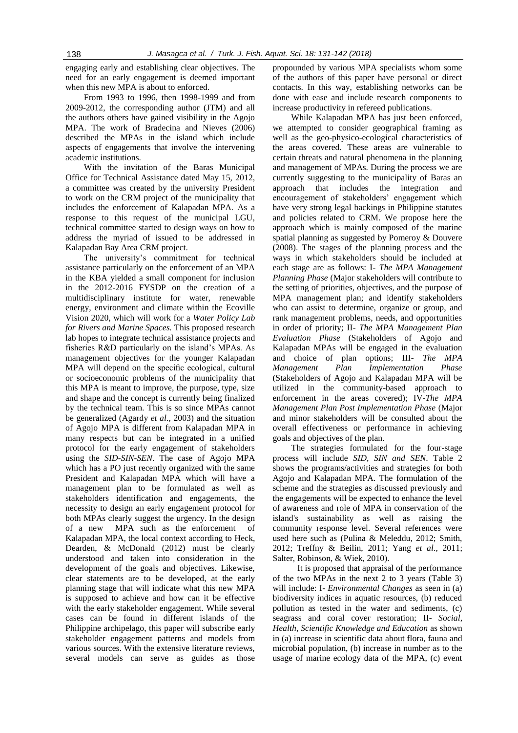engaging early and establishing clear objectives. The need for an early engagement is deemed important when this new MPA is about to enforced.

From 1993 to 1996, then 1998-1999 and from 2009-2012, the corresponding author (JTM) and all the authors others have gained visibility in the Agojo MPA. The work of Bradecina and Nieves (2006) described the MPAs in the island which include aspects of engagements that involve the intervening academic institutions.

With the invitation of the Baras Municipal Office for Technical Assistance dated May 15, 2012, a committee was created by the university President to work on the CRM project of the municipality that includes the enforcement of Kalapadan MPA. As a response to this request of the municipal LGU, technical committee started to design ways on how to address the myriad of issued to be addressed in Kalapadan Bay Area CRM project.

The university's commitment for technical assistance particularly on the enforcement of an MPA in the KBA yielded a small component for inclusion in the 2012-2016 FYSDP on the creation of a multidisciplinary institute for water, renewable energy, environment and climate within the Ecoville Vision 2020, which will work for a *Water Policy Lab for Rivers and Marine Spaces.* This proposed research lab hopes to integrate technical assistance projects and fisheries R&D particularly on the island"s MPAs. As management objectives for the younger Kalapadan MPA will depend on the specific ecological, cultural or socioeconomic problems of the municipality that this MPA is meant to improve, the purpose, type, size and shape and the concept is currently being finalized by the technical team. This is so since MPAs cannot be generalized (Agardy *et al*., 2003) and the situation of Agojo MPA is different from Kalapadan MPA in many respects but can be integrated in a unified protocol for the early engagement of stakeholders using the *SID-SIN-SEN*. The case of Agojo MPA which has a PO just recently organized with the same President and Kalapadan MPA which will have a management plan to be formulated as well as stakeholders identification and engagements, the necessity to design an early engagement protocol for both MPAs clearly suggest the urgency. In the design of a new MPA such as the enforcement of Kalapadan MPA, the local context according to [Heck,](http://www.scopus.com.scopeesprx.elsevier.com/authid/detail.url?origin=resultslist&authorId=36806223300&zone=)  [Dearden, &](http://www.scopus.com.scopeesprx.elsevier.com/authid/detail.url?origin=resultslist&authorId=7004027719&zone=) [McDonald \(2](http://www.scopus.com.scopeesprx.elsevier.com/authid/detail.url?origin=resultslist&authorId=7203088451&zone=)012) must be clearly understood and taken into consideration in the development of the goals and objectives. Likewise, clear statements are to be developed, at the early planning stage that will indicate what this new MPA is supposed to achieve and how can it be effective with the early stakeholder engagement. While several cases can be found in different islands of the Philippine archipelago, this paper will subscribe early stakeholder engagement patterns and models from various sources. With the extensive literature reviews, several models can serve as guides as those

propounded by various MPA specialists whom some of the authors of this paper have personal or direct contacts. In this way, establishing networks can be done with ease and include research components to increase productivity in refereed publications.

While Kalapadan MPA has just been enforced, we attempted to consider geographical framing as well as the geo-physico-ecological characteristics of the areas covered. These areas are vulnerable to certain threats and natural phenomena in the planning and management of MPAs. During the process we are currently suggesting to the municipality of Baras an approach that includes the integration and encouragement of stakeholders" engagement which have very strong legal backings in Philippine statutes and policies related to CRM. We propose here the approach which is mainly composed of the marine spatial planning as suggested by Pomeroy & Douvere (2008). The stages of the planning process and the ways in which stakeholders should be included at each stage are as follows: I- *The MPA Management Planning Phase* (Major stakeholders will contribute to the setting of priorities, objectives, and the purpose of MPA management plan; and identify stakeholders who can assist to determine, organize or group, and rank management problems, needs, and opportunities in order of priority; II- *The MPA Management Plan Evaluation Phase* (Stakeholders of Agojo and Kalapadan MPAs will be engaged in the evaluation and choice of plan options; III- *The MPA Management Plan Implementation Phase* (Stakeholders of Agojo and Kalapadan MPA will be utilized in the community-based approach to enforcement in the areas covered); IV-*The MPA Management Plan Post Implementation Phase* (Major and minor stakeholders will be consulted about the overall effectiveness or performance in achieving goals and objectives of the plan.

The strategies formulated for the four-stage process will include *SID, SIN and SEN*. Table 2 shows the programs/activities and strategies for both Agojo and Kalapadan MPA. The formulation of the scheme and the strategies as discussed previously and the engagements will be expected to enhance the level of awareness and role of MPA in conservation of the island's sustainability as well as raising the community response level. Several references were used here such as [\(Pulina](http://www.scopus.com.scopeesprx.elsevier.com/authid/detail.url?origin=resultslist&authorId=14036065900&zone=) & [Meleddu,](http://www.scopus.com.scopeesprx.elsevier.com/authid/detail.url?origin=resultslist&authorId=51864194300&zone=) 2012; Smith, 2012; [Treffny](http://www.scopus.com.scopeesprx.elsevier.com/authid/detail.url?origin=resultslist&authorId=55046037400&zone=) & [Beilin,](http://www.scopus.com.scopeesprx.elsevier.com/authid/detail.url?origin=resultslist&authorId=55043245400&zone=) 2011; Yang *et al*., 2011; Salter, Robinson, & Wiek, 2010).

It is proposed that appraisal of the performance of the two MPAs in the next 2 to 3 years (Table 3) will include: I- *Environmental Changes* as seen in (a) biodiversity indices in aquatic resources, (b) reduced pollution as tested in the water and sediments, (c) seagrass and coral cover restoration; II- *Social, Health, Scientific Knowledge and Education* as shown in (a) increase in scientific data about flora, fauna and microbial population, (b) increase in number as to the usage of marine ecology data of the MPA, (c) event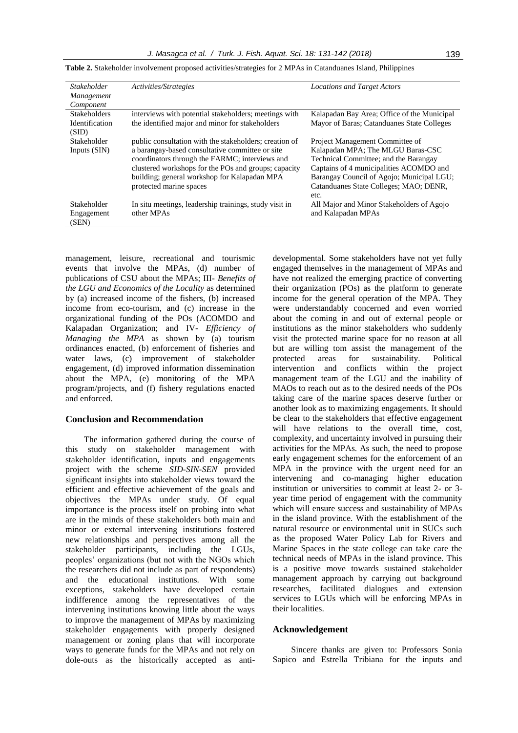| <b>Stakeholder</b>    | Activities/Strategies                                  | <b>Locations and Target Actors</b>          |
|-----------------------|--------------------------------------------------------|---------------------------------------------|
| Management            |                                                        |                                             |
| Component             |                                                        |                                             |
| <b>Stakeholders</b>   | interviews with potential stakeholders; meetings with  | Kalapadan Bay Area; Office of the Municipal |
| <b>Identification</b> | the identified major and minor for stakeholders        | Mayor of Baras; Catanduanes State Colleges  |
| (SID)                 |                                                        |                                             |
| Stakeholder           | public consultation with the stakeholders; creation of | Project Management Committee of             |
| Inputs (SIN)          | a barangay-based consultative committee or site        | Kalapadan MPA; The MLGU Baras-CSC           |
|                       | coordinators through the FARMC; interviews and         | Technical Committee; and the Barangay       |
|                       | clustered workshops for the POs and groups; capacity   | Captains of 4 municipalities ACOMDO and     |
|                       | building; general workshop for Kalapadan MPA           | Barangay Council of Agojo; Municipal LGU;   |
|                       | protected marine spaces                                | Catanduanes State Colleges; MAO; DENR,      |
|                       |                                                        | etc.                                        |
| Stakeholder           | In situ meetings, leadership trainings, study visit in | All Major and Minor Stakeholders of Agojo   |
| Engagement            | other MPAs                                             | and Kalapadan MPAs                          |
| (SEN)                 |                                                        |                                             |
|                       |                                                        |                                             |

| Table 2. Stakeholder involvement proposed activities/strategies for 2 MPAs in Catanduanes Island, Philippines |  |  |  |  |
|---------------------------------------------------------------------------------------------------------------|--|--|--|--|
|---------------------------------------------------------------------------------------------------------------|--|--|--|--|

management, leisure, recreational and tourismic events that involve the MPAs, (d) number of publications of CSU about the MPAs; III*- Benefits of the LGU and Economics of the Locality* as determined by (a) increased income of the fishers, (b) increased income from eco-tourism, and (c) increase in the organizational funding of the POs (ACOMDO and Kalapadan Organization; and IV- *Efficiency of Managing the MPA* as shown by (a) tourism ordinances enacted, (b) enforcement of fisheries and water laws, (c) improvement of stakeholder engagement, (d) improved information dissemination about the MPA, (e) monitoring of the MPA program/projects, and (f) fishery regulations enacted and enforced.

# **Conclusion and Recommendation**

The information gathered during the course of this study on stakeholder management with stakeholder identification, inputs and engagements project with the scheme *SID-SIN-SEN* provided significant insights into stakeholder views toward the efficient and effective achievement of the goals and objectives the MPAs under study. Of equal importance is the process itself on probing into what are in the minds of these stakeholders both main and minor or external intervening institutions fostered new relationships and perspectives among all the stakeholder participants, including the LGUs, peoples" organizations (but not with the NGOs which the researchers did not include as part of respondents) and the educational institutions. With some exceptions, stakeholders have developed certain indifference among the representatives of the intervening institutions knowing little about the ways to improve the management of MPAs by maximizing stakeholder engagements with properly designed management or zoning plans that will incorporate ways to generate funds for the MPAs and not rely on dole-outs as the historically accepted as anti-

developmental. Some stakeholders have not yet fully engaged themselves in the management of MPAs and have not realized the emerging practice of converting their organization (POs) as the platform to generate income for the general operation of the MPA. They were understandably concerned and even worried about the coming in and out of external people or institutions as the minor stakeholders who suddenly visit the protected marine space for no reason at all but are willing tom assist the management of the protected areas for sustainability. Political intervention and conflicts within the project management team of the LGU and the inability of MAOs to reach out as to the desired needs of the POs taking care of the marine spaces deserve further or another look as to maximizing engagements. It should be clear to the stakeholders that effective engagement will have relations to the overall time, cost, complexity, and uncertainty involved in pursuing their activities for the MPAs. As such, the need to propose early engagement schemes for the enforcement of an MPA in the province with the urgent need for an intervening and co-managing higher education institution or universities to commit at least 2- or 3 year time period of engagement with the community which will ensure success and sustainability of MPAs in the island province. With the establishment of the natural resource or environmental unit in SUCs such as the proposed Water Policy Lab for Rivers and Marine Spaces in the state college can take care the technical needs of MPAs in the island province. This is a positive move towards sustained stakeholder management approach by carrying out background researches, facilitated dialogues and extension services to LGUs which will be enforcing MPAs in their localities.

# **Acknowledgement**

Sincere thanks are given to: Professors Sonia Sapico and Estrella Tribiana for the inputs and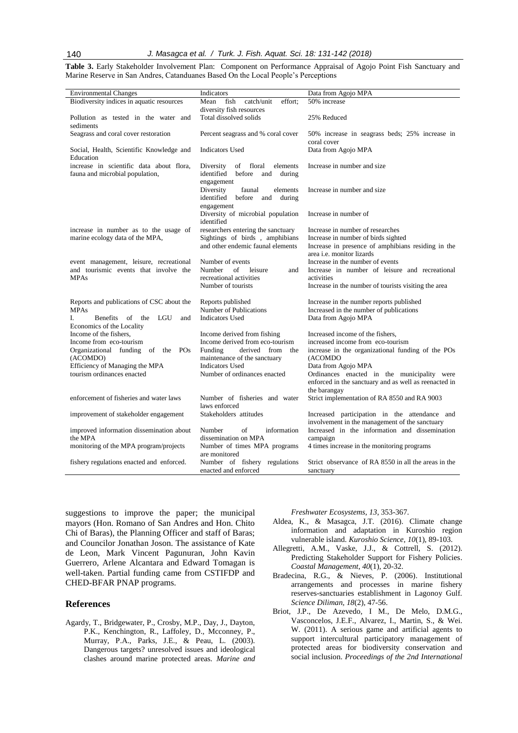**Table 3.** Early Stakeholder Involvement Plan: Component on Performance Appraisal of Agojo Point Fish Sanctuary and Marine Reserve in San Andres, Catanduanes Based On the Local People"s Perceptions

| <b>Environmental Changes</b>                                                                    | Indicators                                                                                                | Data from Agojo MPA                                                                                                                                               |  |
|-------------------------------------------------------------------------------------------------|-----------------------------------------------------------------------------------------------------------|-------------------------------------------------------------------------------------------------------------------------------------------------------------------|--|
| Biodiversity indices in aquatic resources                                                       | fish<br>catch/unit<br>effort;<br>Mean                                                                     | 50% increase                                                                                                                                                      |  |
| Pollution as tested in the water and<br>sediments                                               | diversity fish resources<br>Total dissolved solids                                                        | 25% Reduced                                                                                                                                                       |  |
| Seagrass and coral cover restoration                                                            | Percent seagrass and % coral cover                                                                        | 50% increase in seagrass beds; 25% increase in<br>coral cover                                                                                                     |  |
| Social, Health, Scientific Knowledge and<br>Education                                           | Indicators Used                                                                                           | Data from Agojo MPA                                                                                                                                               |  |
| increase in scientific data about flora,<br>fauna and microbial population,                     | of<br>floral<br>Diversity<br>elements<br>identified<br>before<br>and<br>during<br>engagement              | Increase in number and size                                                                                                                                       |  |
|                                                                                                 | Diversity<br>faunal<br>elements<br>identified before<br>and<br>during<br>engagement                       | Increase in number and size                                                                                                                                       |  |
|                                                                                                 | Diversity of microbial population<br>identified                                                           | Increase in number of                                                                                                                                             |  |
| increase in number as to the usage of<br>marine ecology data of the MPA,                        | researchers entering the sanctuary<br>Sightings of birds, amphibians<br>and other endemic faunal elements | Increase in number of researches<br>Increase in number of birds sighted<br>Increase in presence of amphibians residing in the<br>area <i>i.e.</i> monitor lizards |  |
| event management, leisure, recreational<br>and tourismic events that involve the<br><b>MPAs</b> | Number of events<br>Number<br>of<br>leisure<br>and<br>recreational activities<br>Number of tourists       | Increase in the number of events<br>Increase in number of leisure and recreational<br>activities<br>Increase in the number of tourists visiting the area          |  |
|                                                                                                 |                                                                                                           |                                                                                                                                                                   |  |
| Reports and publications of CSC about the                                                       | Reports published                                                                                         | Increase in the number reports published                                                                                                                          |  |
| <b>MPAs</b><br>Benefits of<br>LGU<br>I.<br>the<br>and<br>Economics of the Locality              | Number of Publications<br><b>Indicators Used</b>                                                          | Increased in the number of publications<br>Data from Agojo MPA                                                                                                    |  |
| Income of the fishers.                                                                          | Income derived from fishing                                                                               | Increased income of the fishers.                                                                                                                                  |  |
| Income from eco-tourism                                                                         | Income derived from eco-tourism                                                                           | increased income from eco-tourism                                                                                                                                 |  |
| Organizational funding<br>of the<br>POs<br>(ACOMDO)                                             | derived from<br>Funding<br>the<br>maintenance of the sanctuary                                            | increase in the organizational funding of the POs<br>(ACOMDO                                                                                                      |  |
| Efficiency of Managing the MPA                                                                  | <b>Indicators Used</b>                                                                                    | Data from Agojo MPA                                                                                                                                               |  |
| tourism ordinances enacted                                                                      | Number of ordinances enacted                                                                              | Ordinances enacted in the municipality were<br>enforced in the sanctuary and as well as reenacted in<br>the barangay                                              |  |
| enforcement of fisheries and water laws                                                         | Number of fisheries and water<br>laws enforced                                                            | Strict implementation of RA 8550 and RA 9003                                                                                                                      |  |
| improvement of stakeholder engagement                                                           | Stakeholders attitudes                                                                                    | Increased participation in the attendance and<br>involvement in the management of the sanctuary                                                                   |  |
| improved information dissemination about<br>the MPA                                             | Number<br>of<br>information<br>dissemination on MPA                                                       | Increased in the information and dissemination                                                                                                                    |  |
| monitoring of the MPA program/projects                                                          | Number of times MPA programs<br>are monitored                                                             | campaign<br>4 times increase in the monitoring programs                                                                                                           |  |
| fishery regulations enacted and enforced.                                                       | Number of fishery regulations<br>enacted and enforced                                                     | Strict observance of RA 8550 in all the areas in the<br>sanctuary                                                                                                 |  |

suggestions to improve the paper; the municipal mayors (Hon. Romano of San Andres and Hon. Chito Chi of Baras), the Planning Officer and staff of Baras; and Councilor Jonathan Joson. The assistance of Kate de Leon, Mark Vincent Pagunuran, John Kavin Guerrero, Arlene Alcantara and Edward Tomagan is well-taken. Partial funding came from CSTIFDP and CHED-BFAR PNAP programs.

# **References**

Agardy, T., Bridgewater, P., Crosby, M.P., Day, J., Dayton, P.K., Kenchington, R., Laffoley, D., Mcconney, P., Murray, P.A., Parks, J.E., & Peau, L. (2003). Dangerous targets? unresolved issues and ideological clashes around marine protected areas*. Marine and*  *Freshwater Ecosystems*, *13*, 353-367.

- Aldea, K., & Masagca, J.T. (2016). Climate change information and adaptation in Kuroshio region vulnerable island. *Kuroshio Science*, *10*(1), 89-103.
- [Allegretti, A.M.](http://www.scopus.com.scopeesprx.elsevier.com/authid/detail.url?origin=resultslist&authorId=55210985400&zone=), [Vaske, J.J.,](http://www.scopus.com.scopeesprx.elsevier.com/authid/detail.url?origin=resultslist&authorId=7004503474&zone=) & [Cottrell, S.](http://www.scopus.com.scopeesprx.elsevier.com/authid/detail.url?origin=resultslist&authorId=7005775698&zone=) (2012). [Predicting Stakeholder Support for Fishery Policies.](http://www.scopus.com.scopeesprx.elsevier.com/record/display.url?eid=2-s2.0-84860702690&origin=resultslist&sort=plf-f&src=s&st1=Stakeholder+Management+in+Marine+Protected+areas&sid=FpToWk-qVLCMMTK77hmpepk%3a20&sot=b&sdt=b&sl=63&s=TITLE-ABS-KEY%28Stakeholder+Management+in+Marine+Protected+areas%29&relpos=10&relpos=10&searchTerm=TITLE-ABS-KEY(Stakeholder%20Management%20in%20Marine%20Protected%20areas)) *[Coastal Management](http://www.scopus.com.scopeesprx.elsevier.com/source/sourceInfo.url?sourceId=26814&origin=resultslist)*, *40*(1)*,* 20-32.
- Bradecina, R.G., & Nieves, P. (2006). Institutional arrangements and processes in marine fishery reserves-sanctuaries establishment in Lagonoy Gulf. *Science Diliman, 18*(2), 47-56.
- [Briot, J.P.,](http://www.scopus.com.scopeesprx.elsevier.com/authid/detail.url?origin=resultslist&authorId=6603795538&zone=) [De Azevedo, I M.,](http://www.scopus.com.scopeesprx.elsevier.com/authid/detail.url?origin=resultslist&authorId=35274326700&zone=) [De Melo, D.M.G.,](http://www.scopus.com.scopeesprx.elsevier.com/authid/detail.url?origin=resultslist&authorId=54894560600&zone=) [Vasconcelos, J.E.F.](http://www.scopus.com.scopeesprx.elsevier.com/authid/detail.url?origin=resultslist&authorId=50961603100&zone=), [Alvarez, I.](http://www.scopus.com.scopeesprx.elsevier.com/authid/detail.url?origin=resultslist&authorId=8553299900&zone=), [Martin, S.](http://www.scopus.com.scopeesprx.elsevier.com/authid/detail.url?origin=resultslist&authorId=36025713300&zone=), & [Wei.](http://www.scopus.com.scopeesprx.elsevier.com/authid/detail.url?origin=resultslist&authorId=54894254000&zone=)  [W.](http://www.scopus.com.scopeesprx.elsevier.com/authid/detail.url?origin=resultslist&authorId=54894254000&zone=) (2011). [A serious game and artificial agents to](http://www.scopus.com.scopeesprx.elsevier.com/record/display.url?eid=2-s2.0-84855783408&origin=resultslist&sort=plf-f&src=s&st1=Stakeholder+Management+in+Marine+Protected+areas&sid=FpToWk-qVLCMMTK77hmpepk%3a20&sot=b&sdt=b&sl=63&s=TITLE-ABS-KEY%28Stakeholder+Management+in+Marine+Protected+areas%29&relpos=13&relpos=13&searchTerm=TITLE-ABS-KEY(Stakeholder%20Management%20in%20Marine%20Protected%20areas))  [support intercultural participatory management of](http://www.scopus.com.scopeesprx.elsevier.com/record/display.url?eid=2-s2.0-84855783408&origin=resultslist&sort=plf-f&src=s&st1=Stakeholder+Management+in+Marine+Protected+areas&sid=FpToWk-qVLCMMTK77hmpepk%3a20&sot=b&sdt=b&sl=63&s=TITLE-ABS-KEY%28Stakeholder+Management+in+Marine+Protected+areas%29&relpos=13&relpos=13&searchTerm=TITLE-ABS-KEY(Stakeholder%20Management%20in%20Marine%20Protected%20areas))  [protected areas for biodiversity conservation and](http://www.scopus.com.scopeesprx.elsevier.com/record/display.url?eid=2-s2.0-84855783408&origin=resultslist&sort=plf-f&src=s&st1=Stakeholder+Management+in+Marine+Protected+areas&sid=FpToWk-qVLCMMTK77hmpepk%3a20&sot=b&sdt=b&sl=63&s=TITLE-ABS-KEY%28Stakeholder+Management+in+Marine+Protected+areas%29&relpos=13&relpos=13&searchTerm=TITLE-ABS-KEY(Stakeholder%20Management%20in%20Marine%20Protected%20areas))  [social inclusion.](http://www.scopus.com.scopeesprx.elsevier.com/record/display.url?eid=2-s2.0-84855783408&origin=resultslist&sort=plf-f&src=s&st1=Stakeholder+Management+in+Marine+Protected+areas&sid=FpToWk-qVLCMMTK77hmpepk%3a20&sot=b&sdt=b&sl=63&s=TITLE-ABS-KEY%28Stakeholder+Management+in+Marine+Protected+areas%29&relpos=13&relpos=13&searchTerm=TITLE-ABS-KEY(Stakeholder%20Management%20in%20Marine%20Protected%20areas)) *Proceedings of the 2nd International*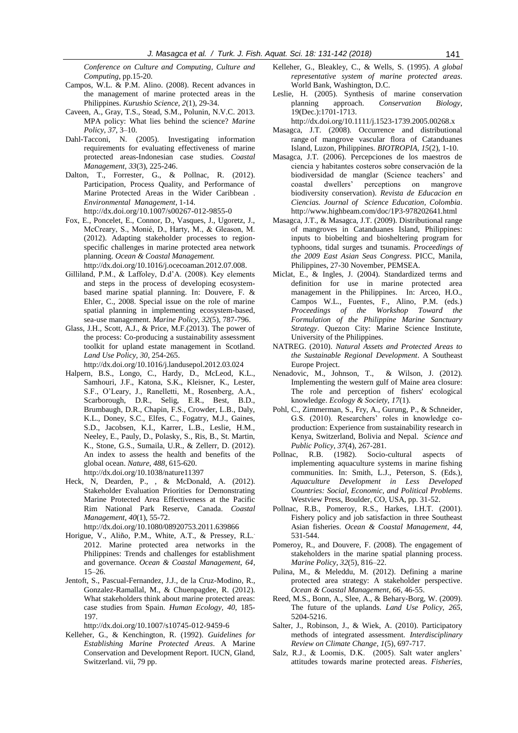*Conference on Culture and Computing, Culture and Computing*, pp.15-20.

- Campos, W.L. & P.M. Alino. (2008). Recent advances in the management of marine protected areas in the Philippines. *Kurushio Science, 2*(1), 29-34.
- Caveen, A., Gray, T.S., Stead, S.M., Polunin, N.V.C. 2013. MPA policy: What lies behind the science? *Marine Policy*, *37*, 3–10.
- Dahl-Tacconi, N. (2005). Investigating information requirements for evaluating effectiveness of marine protected areas-Indonesian case studies. *Coastal Management, 33*(3), 225-246.
- [Dalton, T.](http://www.scopus.com.scopeesprx.elsevier.com/authid/detail.url?origin=resultslist&authorId=9639917700&zone=), [Forrester, G.](http://www.scopus.com.scopeesprx.elsevier.com/authid/detail.url?origin=resultslist&authorId=7003768836&zone=), & [Pollnac, R.](http://www.scopus.com.scopeesprx.elsevier.com/authid/detail.url?origin=resultslist&authorId=6603610255&zone=) (2012). [Participation, Process Quality, and Performance of](http://www.scopus.com.scopeesprx.elsevier.com/record/display.url?eid=2-s2.0-84859911291&origin=resultslist&sort=plf-f&src=s&st1=Stakeholder+Management+in+Marine+Protected+areas&sid=FpToWk-qVLCMMTK77hmpepk%3a20&sot=b&sdt=b&sl=63&s=TITLE-ABS-KEY%28Stakeholder+Management+in+Marine+Protected+areas%29&relpos=4&relpos=4&searchTerm=TITLE-ABS-KEY(Stakeholder%20Management%20in%20Marine%20Protected%20areas))  [Marine Protected Areas in the Wider Caribbean](http://www.scopus.com.scopeesprx.elsevier.com/record/display.url?eid=2-s2.0-84859911291&origin=resultslist&sort=plf-f&src=s&st1=Stakeholder+Management+in+Marine+Protected+areas&sid=FpToWk-qVLCMMTK77hmpepk%3a20&sot=b&sdt=b&sl=63&s=TITLE-ABS-KEY%28Stakeholder+Management+in+Marine+Protected+areas%29&relpos=4&relpos=4&searchTerm=TITLE-ABS-KEY(Stakeholder%20Management%20in%20Marine%20Protected%20areas)) . *[Environmental Manage](http://www.scopus.com.scopeesprx.elsevier.com/source/sourceInfo.url?sourceId=21478&origin=resultslist)ment*, 1-14. http://dx.doi.org/10.1007/s00267-012-9855-0
- Fox, E., Poncelet, E., Connor, D., Vasques, J., Ugoretz, J., McCreary, S., Monié, D., Harty, M., & Gleason, M. (2012). Adapting stakeholder processes to regionspecific challenges in marine protected area network planning. *Ocean & Coastal Management.*  http://dx.doi.org/10.1016/j.ocecoaman.2012.07.008.
- Gilliland, P.M., & Laffoley, D.d"A. (2008). Key elements and steps in the process of developing ecosystembased marine spatial planning. In: Douvere, F. & Ehler, C., 2008. Special issue on the role of marine spatial planning in implementing ecosystem-based, sea-use management. *Marine Policy*, *32*(5), 787-796.
- Glass, J.H., Scott, A.J., & Price, M.F.(2013). The power of the process: Co-producing a sustainability assessment toolkit for upland estate management in Scotland. *Land Use Policy, 30*, 254-265.

[http://dx.doi.org/10.1016/j.landusepol.2012.03.024](http://doi.org/10.1016/j.landusepol.2012.03.024)

- Halpern, B.S., Longo, C., Hardy, D., McLeod, K.L., Samhouri, J.F., Katona, S.K., Kleisner, K., Lester, S.F., O"Leary, J., Ranelletti, M., Rosenberg, A.A., Scarborough, D.R., Selig, E.R., Best, B.D., Brumbaugh, D.R., Chapin, F.S., Crowder, L.B., Daly, K.L., Doney, S.C., Elfes, C., Fogatry, M.J., Gaines, S.D., Jacobsen, K.I., Karrer, L.B., Leslie, H.M., Neeley, E., Pauly, D., Polasky, S., Ris, B., St. Martin, K., Stone, G.S., Sumaila, U.R., & Zellerr, D. (2012). An index to assess the health and benefits of the global ocean. *Nature*, *488*, 615-620.
	- http://dx.doi.org/10.1038/nature11397
- [Heck, N,](http://www.scopus.com.scopeesprx.elsevier.com/authid/detail.url?origin=resultslist&authorId=36806223300&zone=) [Dearden, P.](http://www.scopus.com.scopeesprx.elsevier.com/authid/detail.url?origin=resultslist&authorId=7004027719&zone=), , & [McDonald, A.](http://www.scopus.com.scopeesprx.elsevier.com/authid/detail.url?origin=resultslist&authorId=7203088451&zone=) (2012). [Stakeholder Evaluation Priorities for Demonstrating](http://www.scopus.com.scopeesprx.elsevier.com/record/display.url?eid=2-s2.0-84860776802&origin=resultslist&sort=plf-f&src=s&st1=Stakeholder+Management+in+Marine+Protected+areas&sid=FpToWk-qVLCMMTK77hmpepk%3a20&sot=b&sdt=b&sl=63&s=TITLE-ABS-KEY%28Stakeholder+Management+in+Marine+Protected+areas%29&relpos=8&relpos=8&searchTerm=TITLE-ABS-KEY(Stakeholder%20Management%20in%20Marine%20Protected%20areas))  [Marine Protected Area Effectiveness at the Pacific](http://www.scopus.com.scopeesprx.elsevier.com/record/display.url?eid=2-s2.0-84860776802&origin=resultslist&sort=plf-f&src=s&st1=Stakeholder+Management+in+Marine+Protected+areas&sid=FpToWk-qVLCMMTK77hmpepk%3a20&sot=b&sdt=b&sl=63&s=TITLE-ABS-KEY%28Stakeholder+Management+in+Marine+Protected+areas%29&relpos=8&relpos=8&searchTerm=TITLE-ABS-KEY(Stakeholder%20Management%20in%20Marine%20Protected%20areas))  [Rim National Park Reserve, Canada.](http://www.scopus.com.scopeesprx.elsevier.com/record/display.url?eid=2-s2.0-84860776802&origin=resultslist&sort=plf-f&src=s&st1=Stakeholder+Management+in+Marine+Protected+areas&sid=FpToWk-qVLCMMTK77hmpepk%3a20&sot=b&sdt=b&sl=63&s=TITLE-ABS-KEY%28Stakeholder+Management+in+Marine+Protected+areas%29&relpos=8&relpos=8&searchTerm=TITLE-ABS-KEY(Stakeholder%20Management%20in%20Marine%20Protected%20areas)) *[Coastal](http://www.scopus.com.scopeesprx.elsevier.com/source/sourceInfo.url?sourceId=26814&origin=resultslist)  [Management,](http://www.scopus.com.scopeesprx.elsevier.com/source/sourceInfo.url?sourceId=26814&origin=resultslist) 40*(1), 55-72.

http://dx.doi.org/1[0.1080/08920753.2011.639866](http://dx.doi.org/10.1080/08920753.2011.639866)

- [Horigue,](http://www.sciencedirect.com.scopeesprx.elsevier.com/science?_ob=RedirectURL&_method=outwardLink&_partnerName=27983&_origin=article&_zone=art_page&_linkType=scopusAuthorDocuments&_targetURL=http%3A%2F%2Fwww.scopus.com%2Fscopus%2Finward%2Fauthor.url%3FpartnerID%3D10%26rel%3D3.0.0%26sortField%3Dcited%26sortOrder%3Dasc%26author%3DHorigue,%2520Vera%26authorID%3D55209954200%26md5%3D577c243b1868ee781654fd45060f87e0&_acct=C000063056&_version=1&_userid=4393131&md5=b9bf7f083792805ea294d7b76c9e8683) V., [Aliño,](http://www.sciencedirect.com.scopeesprx.elsevier.com/science?_ob=RedirectURL&_method=outwardLink&_partnerName=27983&_origin=article&_zone=art_page&_linkType=scopusAuthorDocuments&_targetURL=http%3A%2F%2Fwww.scopus.com%2Fscopus%2Finward%2Fauthor.url%3FpartnerID%3D10%26rel%3D3.0.0%26sortField%3Dcited%26sortOrder%3Dasc%26author%3DAli%25C3%25B1o,%2520Porfirio%2520M.%26authorID%3D6602135005%26md5%3Dc89d39c6a21b3a91124757150927f95e&_acct=C000063056&_version=1&_userid=4393131&md5=9cfce8a35a4235f832bdb208dca21f27) P.M., White, A.T., & [Pressey,](http://www.sciencedirect.com.scopeesprx.elsevier.com/science?_ob=RedirectURL&_method=outwardLink&_partnerName=27983&_origin=article&_zone=art_page&_linkType=scopusAuthorDocuments&_targetURL=http%3A%2F%2Fwww.scopus.com%2Fscopus%2Finward%2Fauthor.url%3FpartnerID%3D10%26rel%3D3.0.0%26sortField%3Dcited%26sortOrder%3Dasc%26author%3DPressey,%2520Robert%2520L.%26authorID%3D7006823219%26md5%3D1bdf9eca393f7f425f4dad9055a3d78c&_acct=C000063056&_version=1&_userid=4393131&md5=20351408b263ac2c17d124d629e96e77) R.L.. 2012. Marine protected area networks in the Philippines: Trends and challenges for establishment and governance. *Ocean & Coastal Management, 64*, 15–26.
- [Jentoft, S.](http://www.scopus.com.scopeesprx.elsevier.com/authid/detail.url?origin=resultslist&authorId=6701462851&zone=), [Pascual-Fernandez, J.J.](http://www.scopus.com.scopeesprx.elsevier.com/authid/detail.url?origin=resultslist&authorId=23493540200&zone=), [de la Cruz-Modino, R.](http://www.scopus.com.scopeesprx.elsevier.com/authid/detail.url?origin=resultslist&authorId=25640758800&zone=), [Gonzalez-Ramallal, M.](http://www.scopus.com.scopeesprx.elsevier.com/authid/detail.url?origin=resultslist&authorId=54941422700&zone=), & [Chuenpagdee, R.](http://www.scopus.com.scopeesprx.elsevier.com/authid/detail.url?origin=resultslist&authorId=6602398484&zone=) (2012). What stakeholders think about marine protected areas: case studies from Spain. *Human Ecology, 40*, 185- 197.

http://dx.doi.org/10.1007/s10745-012-9459-6

Kelleher, G., & Kenchington, R. (1992). *Guidelines for Establishing Marine Protected Areas*. A Marine Conservation and Development Report. IUCN, Gland, Switzerland. vii, 79 pp.

- Kelleher, G., Bleakley, C., & Wells, S. (1995). *A global representative system of marine protected areas*. World Bank, Washington, D.C.
- Leslie, H. (2005). Synthesis of marine conservation planning approach. *Conservation Biology*, 19(Dec.):1701-1713.
- http://dx.doi.org/10.1111/j.1523-1739.2005.00268.x
- Masagca, J.T. (2008). Occurrence and distributional range of mangrove vascular flora of Catanduanes Island, Luzon, Philippines. *BIOTROPIA*, *15*(2), 1-10.
- Masagca, J.T. (2006). Percepciones de los maestros de ciencia y habitantes costeros sobre conservación de la biodiversidad de manglar (Science teachers' and coastal dwellers" perceptions on mangrove biodiversity conservation). *Revista de Educacion en Ciencias. Journal of Science Education, Colombia*. <http://www.highbeam.com/doc/1P3-978202641.html>
- Masagca, J.T., & Masagca, J.T. (2009). Distributional range of mangroves in Catanduanes Island, Philippines: inputs to biobelting and biosheltering program for typhoons, tidal surges and tsunamis. *Proceedings of the 2009 East Asian Seas Congress*. PICC, Manila, Philippines, 27-30 November, PEMSEA.
- Miclat, E., & Ingles, J. (2004). Standardized terms and definition for use in marine protected area management in the Philippines. In: Arceo, H.O., Campos W.L., Fuentes, F., Alino, P.M. (eds.) *Proceedings of the Workshop Toward the Formulation of the Philippine Marine Sanctuary Strategy*. Quezon City: Marine Science Institute, University of the Philippines.
- NATREG. (2010). *Natural Assets and Protected Areas to the Sustainable Regional Development*. A Southeast Europe Project.
- [Nenadovic, M.,](http://www.scopus.com.scopeesprx.elsevier.com/authid/detail.url?origin=resultslist&authorId=55215100900&zone=) [Johnson, T.](http://www.scopus.com.scopeesprx.elsevier.com/authid/detail.url?origin=resultslist&authorId=7404019706&zone=), & [Wilson, J.](http://www.scopus.com.scopeesprx.elsevier.com/authid/detail.url?origin=resultslist&authorId=7406643947&zone=) (2012). [Implementing the western gulf of Maine area closure:](http://www.scopus.com.scopeesprx.elsevier.com/record/display.url?eid=2-s2.0-84860898033&origin=resultslist&sort=plf-f&src=s&st1=Stakeholder+Management+in+Marine+Protected+areas&sid=FpToWk-qVLCMMTK77hmpepk%3a20&sot=b&sdt=b&sl=63&s=TITLE-ABS-KEY%28Stakeholder+Management+in+Marine+Protected+areas%29&relpos=3&relpos=3&searchTerm=TITLE-ABS-KEY(Stakeholder%20Management%20in%20Marine%20Protected%20areas))  [The role and perception of fishers' ecological](http://www.scopus.com.scopeesprx.elsevier.com/record/display.url?eid=2-s2.0-84860898033&origin=resultslist&sort=plf-f&src=s&st1=Stakeholder+Management+in+Marine+Protected+areas&sid=FpToWk-qVLCMMTK77hmpepk%3a20&sot=b&sdt=b&sl=63&s=TITLE-ABS-KEY%28Stakeholder+Management+in+Marine+Protected+areas%29&relpos=3&relpos=3&searchTerm=TITLE-ABS-KEY(Stakeholder%20Management%20in%20Marine%20Protected%20areas))  [knowledge.](http://www.scopus.com.scopeesprx.elsevier.com/record/display.url?eid=2-s2.0-84860898033&origin=resultslist&sort=plf-f&src=s&st1=Stakeholder+Management+in+Marine+Protected+areas&sid=FpToWk-qVLCMMTK77hmpepk%3a20&sot=b&sdt=b&sl=63&s=TITLE-ABS-KEY%28Stakeholder+Management+in+Marine+Protected+areas%29&relpos=3&relpos=3&searchTerm=TITLE-ABS-KEY(Stakeholder%20Management%20in%20Marine%20Protected%20areas)) *[Ecology & Society](http://www.scopus.com.scopeesprx.elsevier.com/source/sourceInfo.url?sourceId=17892&origin=resultslist)*, *17*(1).
- Pohl, C., Zimmerman, S., Fry, A., Gurung, P., & Schneider, G.S. (2010). Researchers' roles in knowledge coproduction: Experience from sustainability research in Kenya, Switzerland, Bolivia and Nepal. *Science and Public Policy*, *37*(4), 267-281.
- Pollnac, R.B. (1982). Socio-cultural aspects of implementing aquaculture systems in marine fishing communities. In: Smith, L.J., Peterson, S. (Eds.), *Aquaculture Development in Less Developed Countries: Social, Economic, and Political Problems*. Westview Press, Boulder, CO, USA, pp. 31-52.
- Pollnac, R.B., Pomeroy, R.S., Harkes, I.H.T. (2001). Fishery policy and job satisfaction in three Southeast Asian fisheries. *Ocean & Coastal Management*, *44*, 531-544.
- Pomeroy, R., and Douvere, F. (2008). The engagement of stakeholders in the marine spatial planning process. *Marine Policy*, *32*(5), 816–22.
- [Pulina, M.](http://www.scopus.com.scopeesprx.elsevier.com/authid/detail.url?origin=resultslist&authorId=14036065900&zone=), & [Meleddu, M.](http://www.scopus.com.scopeesprx.elsevier.com/authid/detail.url?origin=resultslist&authorId=51864194300&zone=) (2012). [Defining a marine](http://www.scopus.com.scopeesprx.elsevier.com/record/display.url?eid=2-s2.0-84862317427&origin=resultslist&sort=plf-f&src=s&st1=Stakeholder+Management+in+Marine+Protected+areas&sid=FpToWk-qVLCMMTK77hmpepk%3a20&sot=b&sdt=b&sl=63&s=TITLE-ABS-KEY%28Stakeholder+Management+in+Marine+Protected+areas%29&relpos=1&relpos=1&searchTerm=TITLE-ABS-KEY(Stakeholder%20Management%20in%20Marine%20Protected%20areas))  [protected area strategy: A stakeholder perspective.](http://www.scopus.com.scopeesprx.elsevier.com/record/display.url?eid=2-s2.0-84862317427&origin=resultslist&sort=plf-f&src=s&st1=Stakeholder+Management+in+Marine+Protected+areas&sid=FpToWk-qVLCMMTK77hmpepk%3a20&sot=b&sdt=b&sl=63&s=TITLE-ABS-KEY%28Stakeholder+Management+in+Marine+Protected+areas%29&relpos=1&relpos=1&searchTerm=TITLE-ABS-KEY(Stakeholder%20Management%20in%20Marine%20Protected%20areas)) *[Ocean & Coastal Managem](http://www.scopus.com.scopeesprx.elsevier.com/source/sourceInfo.url?sourceId=28333&origin=resultslist)ent*, *66*, 46-55.
- Reed, M.S., Bonn, A., Slee, A., & Behary-Borg, W. (2009). The future of the uplands. *Land Use Policy*, *265*, 5204-5216.
- Salter, J., Robinson, J., & Wiek, A. (2010). Participatory methods of integrated assessment. *Interdisciplinary Review on Climate Change*, *1*(5), 697-717.
- Salz, R.J., & Loomis, D.K. (2005). Salt water anglers' attitudes towards marine protected areas. *Fisheries*,